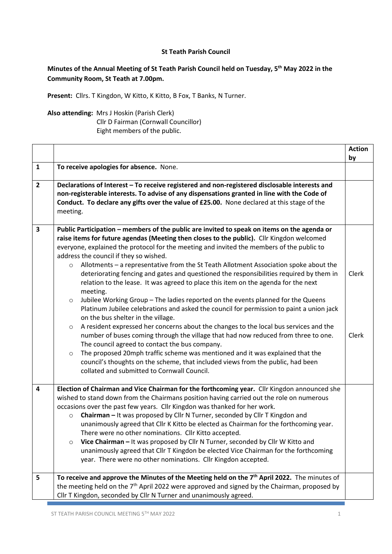## **St Teath Parish Council**

## **Minutes of the Annual Meeting of St Teath Parish Council held on Tuesday, 5 th May 2022 in the Community Room, St Teath at 7.00pm.**

**Present:** Cllrs. T Kingdon, W Kitto, K Kitto, B Fox, T Banks, N Turner.

## **Also attending:** Mrs J Hoskin (Parish Clerk) Cllr D Fairman (Cornwall Councillor)

Eight members of the public.

|              |                                                                                                                                                                                                                                                                                                                                                                                                                                                                                                                                                                                                                                                                                                                                                                                                                                                                                                                                                                                                                                                                                                                                                                                                                                                                                                                                             | <b>Action</b><br>by |
|--------------|---------------------------------------------------------------------------------------------------------------------------------------------------------------------------------------------------------------------------------------------------------------------------------------------------------------------------------------------------------------------------------------------------------------------------------------------------------------------------------------------------------------------------------------------------------------------------------------------------------------------------------------------------------------------------------------------------------------------------------------------------------------------------------------------------------------------------------------------------------------------------------------------------------------------------------------------------------------------------------------------------------------------------------------------------------------------------------------------------------------------------------------------------------------------------------------------------------------------------------------------------------------------------------------------------------------------------------------------|---------------------|
| $\mathbf{1}$ | To receive apologies for absence. None.                                                                                                                                                                                                                                                                                                                                                                                                                                                                                                                                                                                                                                                                                                                                                                                                                                                                                                                                                                                                                                                                                                                                                                                                                                                                                                     |                     |
| $\mathbf{2}$ | Declarations of Interest - To receive registered and non-registered disclosable interests and<br>non-registerable interests. To advise of any dispensations granted in line with the Code of<br>Conduct. To declare any gifts over the value of £25.00. None declared at this stage of the<br>meeting.                                                                                                                                                                                                                                                                                                                                                                                                                                                                                                                                                                                                                                                                                                                                                                                                                                                                                                                                                                                                                                      |                     |
| 3            | Public Participation – members of the public are invited to speak on items on the agenda or<br>raise items for future agendas (Meeting then closes to the public). Cllr Kingdon welcomed<br>everyone, explained the protocol for the meeting and invited the members of the public to<br>address the council if they so wished.<br>Allotments - a representative from the St Teath Allotment Association spoke about the<br>$\circ$<br>deteriorating fencing and gates and questioned the responsibilities required by them in<br>relation to the lease. It was agreed to place this item on the agenda for the next<br>meeting.<br>Jubilee Working Group - The ladies reported on the events planned for the Queens<br>$\circ$<br>Platinum Jubilee celebrations and asked the council for permission to paint a union jack<br>on the bus shelter in the village.<br>A resident expressed her concerns about the changes to the local bus services and the<br>$\circ$<br>number of buses coming through the village that had now reduced from three to one.<br>The council agreed to contact the bus company.<br>The proposed 20mph traffic scheme was mentioned and it was explained that the<br>$\circ$<br>council's thoughts on the scheme, that included views from the public, had been<br>collated and submitted to Cornwall Council. | Clerk<br>Clerk      |
| 4            | Election of Chairman and Vice Chairman for the forthcoming year. Cllr Kingdon announced she<br>wished to stand down from the Chairmans position having carried out the role on numerous<br>occasions over the past few years. Cllr Kingdon was thanked for her work.<br>Chairman - It was proposed by Cllr N Turner, seconded by Cllr T Kingdon and<br>$\circ$<br>unanimously agreed that Cllr K Kitto be elected as Chairman for the forthcoming year.<br>There were no other nominations. Cllr Kitto accepted.<br>Vice Chairman - It was proposed by Cllr N Turner, seconded by Cllr W Kitto and<br>$\circ$<br>unanimously agreed that Cllr T Kingdon be elected Vice Chairman for the forthcoming<br>year. There were no other nominations. Cllr Kingdon accepted.                                                                                                                                                                                                                                                                                                                                                                                                                                                                                                                                                                       |                     |
| 5            | To receive and approve the Minutes of the Meeting held on the 7 <sup>th</sup> April 2022. The minutes of<br>the meeting held on the 7 <sup>th</sup> April 2022 were approved and signed by the Chairman, proposed by<br>Cllr T Kingdon, seconded by Cllr N Turner and unanimously agreed.                                                                                                                                                                                                                                                                                                                                                                                                                                                                                                                                                                                                                                                                                                                                                                                                                                                                                                                                                                                                                                                   |                     |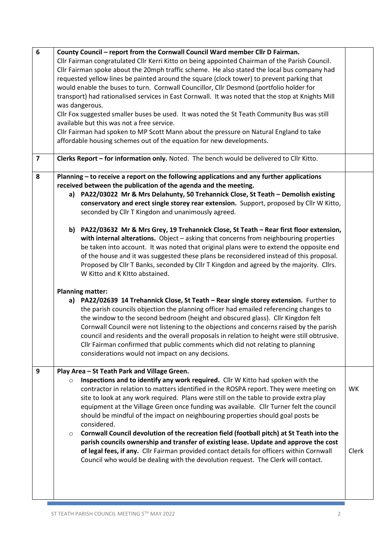| $6\phantom{a}$          | County Council - report from the Cornwall Council Ward member Cllr D Fairman.<br>Cllr Fairman congratulated Cllr Kerri Kitto on being appointed Chairman of the Parish Council.<br>Cllr Fairman spoke about the 20mph traffic scheme. He also stated the local bus company had<br>requested yellow lines be painted around the square (clock tower) to prevent parking that<br>would enable the buses to turn. Cornwall Councillor, Cllr Desmond (portfolio holder for<br>transport) had rationalised services in East Cornwall. It was noted that the stop at Knights Mill<br>was dangerous.<br>Cllr Fox suggested smaller buses be used. It was noted the St Teath Community Bus was still<br>available but this was not a free service.<br>Cllr Fairman had spoken to MP Scott Mann about the pressure on Natural England to take                                                                                                                                                                                                                                                                                                                                                                                                                                                                                                                                                                                                                                                                                                              |                    |
|-------------------------|---------------------------------------------------------------------------------------------------------------------------------------------------------------------------------------------------------------------------------------------------------------------------------------------------------------------------------------------------------------------------------------------------------------------------------------------------------------------------------------------------------------------------------------------------------------------------------------------------------------------------------------------------------------------------------------------------------------------------------------------------------------------------------------------------------------------------------------------------------------------------------------------------------------------------------------------------------------------------------------------------------------------------------------------------------------------------------------------------------------------------------------------------------------------------------------------------------------------------------------------------------------------------------------------------------------------------------------------------------------------------------------------------------------------------------------------------------------------------------------------------------------------------------------------------|--------------------|
| $\overline{\mathbf{z}}$ | affordable housing schemes out of the equation for new developments.<br>Clerks Report - for information only. Noted. The bench would be delivered to Cllr Kitto.                                                                                                                                                                                                                                                                                                                                                                                                                                                                                                                                                                                                                                                                                                                                                                                                                                                                                                                                                                                                                                                                                                                                                                                                                                                                                                                                                                                  |                    |
|                         |                                                                                                                                                                                                                                                                                                                                                                                                                                                                                                                                                                                                                                                                                                                                                                                                                                                                                                                                                                                                                                                                                                                                                                                                                                                                                                                                                                                                                                                                                                                                                   |                    |
| 8                       | Planning – to receive a report on the following applications and any further applications<br>received between the publication of the agenda and the meeting.<br>a) PA22/03022 Mr & Mrs Delahunty, 50 Trehannick Close, St Teath - Demolish existing<br>conservatory and erect single storey rear extension. Support, proposed by Cllr W Kitto,<br>seconded by Cllr T Kingdon and unanimously agreed.<br>b) PA22/03632 Mr & Mrs Grey, 19 Trehannick Close, St Teath - Rear first floor extension,<br>with internal alterations. Object - asking that concerns from neighbouring properties<br>be taken into account. It was noted that original plans were to extend the opposite end<br>of the house and it was suggested these plans be reconsidered instead of this proposal.<br>Proposed by Cllr T Banks, seconded by Cllr T Kingdon and agreed by the majority. Cllrs.<br>W Kitto and K KItto abstained.<br><b>Planning matter:</b><br>PA22/02639 14 Trehannick Close, St Teath - Rear single storey extension. Further to<br>a)<br>the parish councils objection the planning officer had emailed referencing changes to<br>the window to the second bedroom (height and obscured glass). Cllr Kingdon felt<br>Cornwall Council were not listening to the objections and concerns raised by the parish<br>council and residents and the overall proposals in relation to height were still obtrusive.<br>Cllr Fairman confirmed that public comments which did not relating to planning<br>considerations would not impact on any decisions. |                    |
| 9                       | Play Area - St Teath Park and Village Green.<br>Inspections and to identify any work required. Cllr W Kitto had spoken with the<br>$\circ$<br>contractor in relation to matters identified in the ROSPA report. They were meeting on<br>site to look at any work required. Plans were still on the table to provide extra play<br>equipment at the Village Green once funding was available. Cllr Turner felt the council<br>should be mindful of the impact on neighbouring properties should goal posts be<br>considered.<br>Cornwall Council devolution of the recreation field (football pitch) at St Teath into the<br>$\circ$<br>parish councils ownership and transfer of existing lease. Update and approve the cost<br>of legal fees, if any. Cllr Fairman provided contact details for officers within Cornwall<br>Council who would be dealing with the devolution request. The Clerk will contact.                                                                                                                                                                                                                                                                                                                                                                                                                                                                                                                                                                                                                                    | <b>WK</b><br>Clerk |

**The State**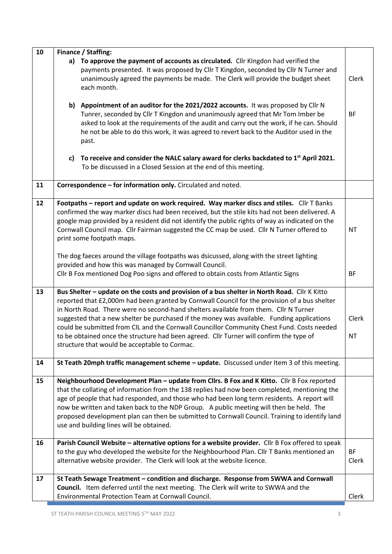| 10 | Finance / Staffing:                                                                                                                                                                                                                                                                                                                                                                                                                                                                                                                                                                                                           |                    |
|----|-------------------------------------------------------------------------------------------------------------------------------------------------------------------------------------------------------------------------------------------------------------------------------------------------------------------------------------------------------------------------------------------------------------------------------------------------------------------------------------------------------------------------------------------------------------------------------------------------------------------------------|--------------------|
|    | a) To approve the payment of accounts as circulated. Cllr Kingdon had verified the<br>payments presented. It was proposed by Cllr T Kingdon, seconded by Cllr N Turner and<br>unanimously agreed the payments be made. The Clerk will provide the budget sheet<br>each month.                                                                                                                                                                                                                                                                                                                                                 | Clerk              |
|    | b) Appointment of an auditor for the 2021/2022 accounts. It was proposed by Cllr N<br>Tunrer, seconded by Cllr T Kingdon and unanimously agreed that Mr Tom Imber be<br>asked to look at the requirements of the audit and carry out the work, if he can. Should<br>he not be able to do this work, it was agreed to revert back to the Auditor used in the<br>past.                                                                                                                                                                                                                                                          | BF                 |
|    | To receive and consider the NALC salary award for clerks backdated to 1 <sup>st</sup> April 2021.<br>c)<br>To be discussed in a Closed Session at the end of this meeting.                                                                                                                                                                                                                                                                                                                                                                                                                                                    |                    |
| 11 | Correspondence - for information only. Circulated and noted.                                                                                                                                                                                                                                                                                                                                                                                                                                                                                                                                                                  |                    |
| 12 | Footpaths - report and update on work required. Way marker discs and stiles. Cllr T Banks<br>confirmed the way marker discs had been received, but the stile kits had not been delivered. A<br>google map provided by a resident did not identify the public rights of way as indicated on the<br>Cornwall Council map. Cllr Fairman suggested the CC map be used. Cllr N Turner offered to<br>print some footpath maps.                                                                                                                                                                                                      | <b>NT</b>          |
|    | The dog faeces around the village footpaths was dsicussed, along with the street lighting<br>provided and how this was managed by Cornwall Council.<br>Cllr B Fox mentioned Dog Poo signs and offered to obtain costs from Atlantic Signs                                                                                                                                                                                                                                                                                                                                                                                     | <b>BF</b>          |
| 13 | Bus Shelter - update on the costs and provision of a bus shelter in North Road. Cllr K Kitto<br>reported that £2,000m had been granted by Cornwall Council for the provision of a bus shelter<br>in North Road. There were no second-hand shelters available from them. Cllr N Turner<br>suggested that a new shelter be purchased if the money was available. Funding applications<br>could be submitted from CIL and the Cornwall Councillor Community Chest Fund. Costs needed<br>to be obtained once the structure had been agreed. Cllr Turner will confirm the type of<br>structure that would be acceptable to Cormac. | Clerk<br><b>NT</b> |
| 14 | St Teath 20mph traffic management scheme - update. Discussed under Item 3 of this meeting.                                                                                                                                                                                                                                                                                                                                                                                                                                                                                                                                    |                    |
| 15 | Neighbourhood Development Plan - update from Cllrs. B Fox and K Kitto. Cllr B Fox reported<br>that the collating of information from the 138 replies had now been completed, mentioning the<br>age of people that had responded, and those who had been long term residents. A report will<br>now be written and taken back to the NDP Group. A public meeting will then be held. The<br>proposed development plan can then be submitted to Cornwall Council. Training to identify land<br>use and building lines will be obtained.                                                                                           |                    |
| 16 | Parish Council Website - alternative options for a website provider. Cllr B Fox offered to speak<br>to the guy who developed the website for the Neighbourhood Plan. Cllr T Banks mentioned an<br>alternative website provider. The Clerk will look at the website licence.                                                                                                                                                                                                                                                                                                                                                   | <b>BF</b><br>Clerk |
| 17 | St Teath Sewage Treatment - condition and discharge. Response from SWWA and Cornwall<br>Council. Item deferred until the next meeting. The Clerk will write to SWWA and the<br>Environmental Protection Team at Cornwall Council.                                                                                                                                                                                                                                                                                                                                                                                             | Clerk              |